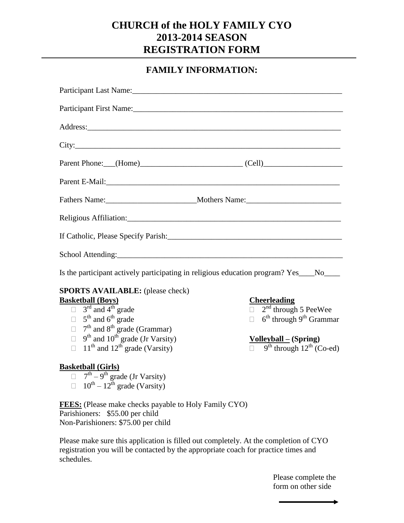## **CHURCH of the HOLY FAMILY CYO 2013-2014 SEASON REGISTRATION FORM**

## **FAMILY INFORMATION:**

| Participant Last Name: 1986 and 1987 and 1988 and 1988 and 1988 and 1988 and 1988 and 1988 and 1988 and 1988 and 1988 and 1988 and 1988 and 1988 and 1988 and 1988 and 1988 and 1988 and 1988 and 1988 and 1988 and 1988 and 1 |                                                                                       |  |  |  |
|--------------------------------------------------------------------------------------------------------------------------------------------------------------------------------------------------------------------------------|---------------------------------------------------------------------------------------|--|--|--|
|                                                                                                                                                                                                                                |                                                                                       |  |  |  |
|                                                                                                                                                                                                                                |                                                                                       |  |  |  |
|                                                                                                                                                                                                                                |                                                                                       |  |  |  |
|                                                                                                                                                                                                                                | Parent Phone: (Home) (Cell)                                                           |  |  |  |
|                                                                                                                                                                                                                                |                                                                                       |  |  |  |
|                                                                                                                                                                                                                                |                                                                                       |  |  |  |
|                                                                                                                                                                                                                                |                                                                                       |  |  |  |
|                                                                                                                                                                                                                                |                                                                                       |  |  |  |
|                                                                                                                                                                                                                                |                                                                                       |  |  |  |
|                                                                                                                                                                                                                                | Is the participant actively participating in religious education program? Yes___No___ |  |  |  |
| <b>SPORTS AVAILABLE:</b> (please check)                                                                                                                                                                                        |                                                                                       |  |  |  |
| <b>Basketball (Boys)</b>                                                                                                                                                                                                       | <b>Cheerleading</b>                                                                   |  |  |  |
| $\Box$ 3 <sup>rd</sup> and 4 <sup>th</sup> grade                                                                                                                                                                               | $\overline{\Box}$ 2 <sup>nd</sup> through 5 PeeWee                                    |  |  |  |
| $\Box$ 5 <sup>th</sup> and 6 <sup>th</sup> grade                                                                                                                                                                               | $\Box$ 6 <sup>th</sup> through 9 <sup>th</sup> Grammar                                |  |  |  |
| $\Box$ 7 <sup>th</sup> and 8 <sup>th</sup> grade (Grammar)                                                                                                                                                                     |                                                                                       |  |  |  |
| $9th$ and $10th$ grade (Jr Varsity)<br>П.                                                                                                                                                                                      | $Volleyball – (Spring)$                                                               |  |  |  |
| $11th$ and $12th$ grade (Varsity)<br>$\Box$                                                                                                                                                                                    | $\overline{9^{th}}$ through $12^{th}$ (Co-ed)                                         |  |  |  |
| <b>Basketball (Girls)</b>                                                                                                                                                                                                      |                                                                                       |  |  |  |
| $\Box$ 7 <sup>th</sup> – 9 <sup>th</sup> grade (Jr Varsity)                                                                                                                                                                    |                                                                                       |  |  |  |
| $\Box$ 10 <sup>th</sup> – 12 <sup>th</sup> grade (Varsity)                                                                                                                                                                     |                                                                                       |  |  |  |
| <b>FEES:</b> (Please make checks payable to Holy Family CYO)                                                                                                                                                                   |                                                                                       |  |  |  |
| Parishioners: \$55.00 per child                                                                                                                                                                                                |                                                                                       |  |  |  |

Non-Parishioners: \$75.00 per child

Please make sure this application is filled out completely. At the completion of CYO registration you will be contacted by the appropriate coach for practice times and schedules.

> Please complete the form on other side